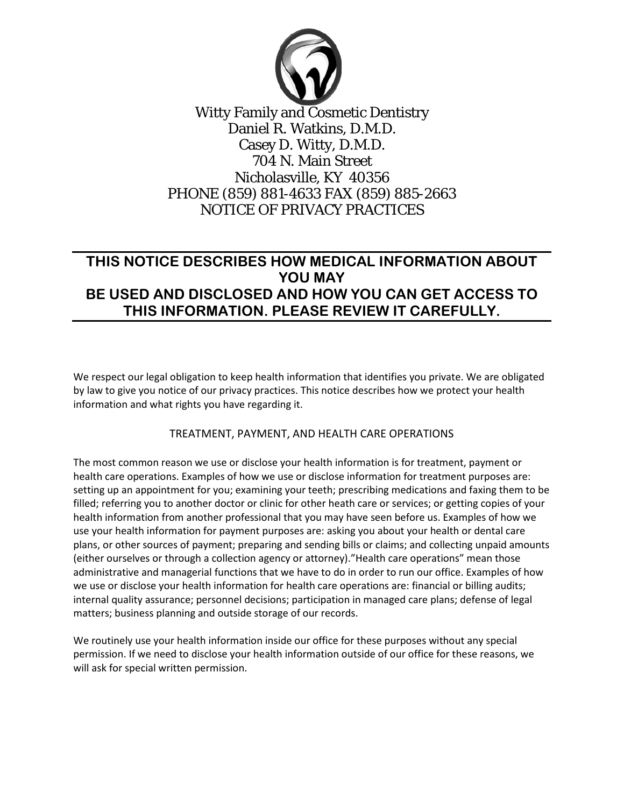

Witty Family and Cosmetic Dentistry Daniel R. Watkins, D.M.D. Casey D. Witty, D.M.D. 704 N. Main Street Nicholasville, KY 40356 PHONE (859) 881-4633 FAX (859) 885-2663 NOTICE OF PRIVACY PRACTICES

# **THIS NOTICE DESCRIBES HOW MEDICAL INFORMATION ABOUT YOU MAY BE USED AND DISCLOSED AND HOW YOU CAN GET ACCESS TO THIS INFORMATION. PLEASE REVIEW IT CAREFULLY.**

We respect our legal obligation to keep health information that identifies you private. We are obligated by law to give you notice of our privacy practices. This notice describes how we protect your health information and what rights you have regarding it.

# TREATMENT, PAYMENT, AND HEALTH CARE OPERATIONS

The most common reason we use or disclose your health information is for treatment, payment or health care operations. Examples of how we use or disclose information for treatment purposes are: setting up an appointment for you; examining your teeth; prescribing medications and faxing them to be filled; referring you to another doctor or clinic for other heath care or services; or getting copies of your health information from another professional that you may have seen before us. Examples of how we use your health information for payment purposes are: asking you about your health or dental care plans, or other sources of payment; preparing and sending bills or claims; and collecting unpaid amounts (either ourselves or through a collection agency or attorney)."Health care operations" mean those administrative and managerial functions that we have to do in order to run our office. Examples of how we use or disclose your health information for health care operations are: financial or billing audits; internal quality assurance; personnel decisions; participation in managed care plans; defense of legal matters; business planning and outside storage of our records.

We routinely use your health information inside our office for these purposes without any special permission. If we need to disclose your health information outside of our office for these reasons, we will ask for special written permission.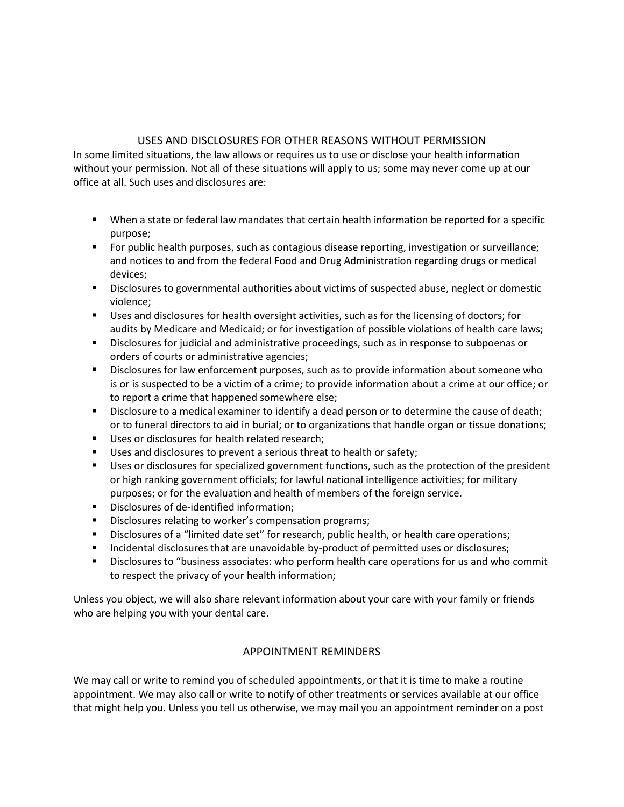## USES AND DISCLOSURES FOR OTHER REASONS WITHOUT PERMISSION

In some limited situations, the law allows or requires us to use or disclose your health information without your permission. Not all of these situations will apply to us; some may never come up at our office at all. Such uses and disclosures are:

- When a state or federal law mandates that certain health information be reported for a specific purpose;
- **For public health purposes, such as contagious disease reporting, investigation or surveillance;** and notices to and from the federal Food and Drug Administration regarding drugs or medical devices;
- Disclosures to governmental authorities about victims of suspected abuse, neglect or domestic violence;
- Uses and disclosures for health oversight activities, such as for the licensing of doctors; for audits by Medicare and Medicaid; or for investigation of possible violations of health care laws;
- Disclosures for judicial and administrative proceedings, such as in response to subpoenas or orders of courts or administrative agencies;
- Disclosures for law enforcement purposes, such as to provide information about someone who is or is suspected to be a victim of a crime; to provide information about a crime at our office; or to report a crime that happened somewhere else;
- **Disclosure to a medical examiner to identify a dead person or to determine the cause of death;** or to funeral directors to aid in burial; or to organizations that handle organ or tissue donations;
- Uses or disclosures for health related research;
- Uses and disclosures to prevent a serious threat to health or safety;
- Uses or disclosures for specialized government functions, such as the protection of the president or high ranking government officials; for lawful national intelligence activities; for military purposes; or for the evaluation and health of members of the foreign service.
- **Disclosures of de-identified information;**
- Disclosures relating to worker's compensation programs;
- Disclosures of a "limited date set" for research, public health, or health care operations;
- **Incidental disclosures that are unavoidable by-product of permitted uses or disclosures;**
- Disclosures to "business associates: who perform health care operations for us and who commit to respect the privacy of your health information;

Unless you object, we will also share relevant information about your care with your family or friends who are helping you with your dental care.

## APPOINTMENT REMINDERS

We may call or write to remind you of scheduled appointments, or that it is time to make a routine appointment. We may also call or write to notify of other treatments or services available at our office that might help you. Unless you tell us otherwise, we may mail you an appointment reminder on a post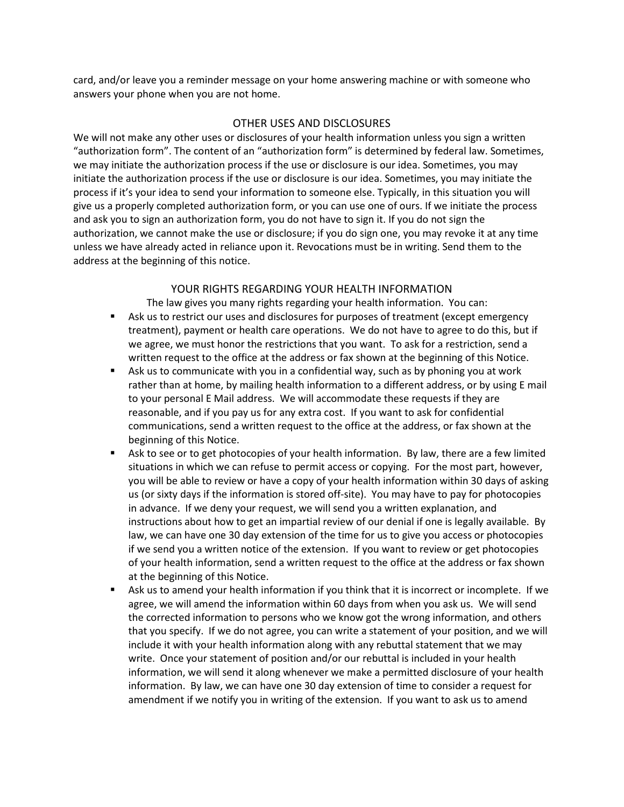card, and/or leave you a reminder message on your home answering machine or with someone who answers your phone when you are not home.

#### OTHER USES AND DISCLOSURES

We will not make any other uses or disclosures of your health information unless you sign a written "authorization form". The content of an "authorization form" is determined by federal law. Sometimes, we may initiate the authorization process if the use or disclosure is our idea. Sometimes, you may initiate the authorization process if the use or disclosure is our idea. Sometimes, you may initiate the process if it's your idea to send your information to someone else. Typically, in this situation you will give us a properly completed authorization form, or you can use one of ours. If we initiate the process and ask you to sign an authorization form, you do not have to sign it. If you do not sign the authorization, we cannot make the use or disclosure; if you do sign one, you may revoke it at any time unless we have already acted in reliance upon it. Revocations must be in writing. Send them to the address at the beginning of this notice.

#### YOUR RIGHTS REGARDING YOUR HEALTH INFORMATION

The law gives you many rights regarding your health information. You can:

- **Ask us to restrict our uses and disclosures for purposes of treatment (except emergency** treatment), payment or health care operations. We do not have to agree to do this, but if we agree, we must honor the restrictions that you want. To ask for a restriction, send a written request to the office at the address or fax shown at the beginning of this Notice.
- Ask us to communicate with you in a confidential way, such as by phoning you at work rather than at home, by mailing health information to a different address, or by using E mail to your personal E Mail address. We will accommodate these requests if they are reasonable, and if you pay us for any extra cost. If you want to ask for confidential communications, send a written request to the office at the address, or fax shown at the beginning of this Notice.
- **Ask to see or to get photocopies of your health information. By law, there are a few limited** situations in which we can refuse to permit access or copying. For the most part, however, you will be able to review or have a copy of your health information within 30 days of asking us (or sixty days if the information is stored off-site). You may have to pay for photocopies in advance. If we deny your request, we will send you a written explanation, and instructions about how to get an impartial review of our denial if one is legally available. By law, we can have one 30 day extension of the time for us to give you access or photocopies if we send you a written notice of the extension. If you want to review or get photocopies of your health information, send a written request to the office at the address or fax shown at the beginning of this Notice.
- Ask us to amend your health information if you think that it is incorrect or incomplete. If we agree, we will amend the information within 60 days from when you ask us. We will send the corrected information to persons who we know got the wrong information, and others that you specify. If we do not agree, you can write a statement of your position, and we will include it with your health information along with any rebuttal statement that we may write. Once your statement of position and/or our rebuttal is included in your health information, we will send it along whenever we make a permitted disclosure of your health information. By law, we can have one 30 day extension of time to consider a request for amendment if we notify you in writing of the extension. If you want to ask us to amend